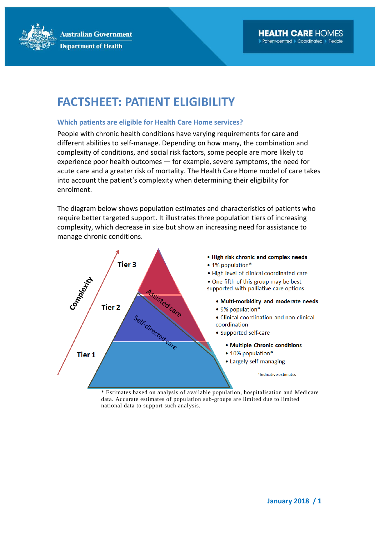**Australian Government Department of Health** 

# **FACTSHEET: PATIENT ELIGIBILITY**

### **Which patients are eligible for Health Care Home services?**

People with chronic health conditions have varying requirements for care and different abilities to self-manage. Depending on how many, the combination and complexity of conditions, and social risk factors, some people are more likely to experience poor health outcomes — for example, severe symptoms, the need for acute care and a greater risk of mortality. The Health Care Home model of care takes into account the patient's complexity when determining their eligibility for enrolment.

The diagram below shows population estimates and characteristics of patients who require better targeted support. It illustrates three population tiers of increasing complexity, which decrease in size but show an increasing need for assistance to manage chronic conditions.



\* Estimates based on analysis of available population, hospitalisation and Medicare data. Accurate estimates of population sub-groups are limited due to limited national data to support such analysis.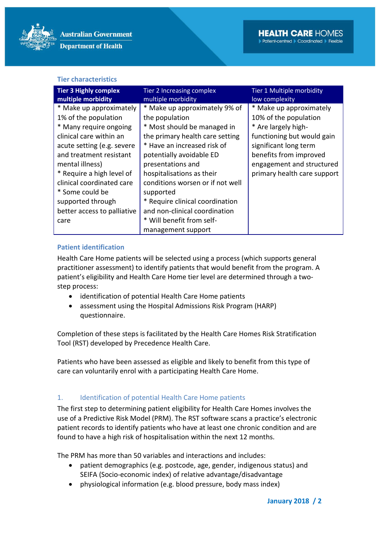

#### **Tier characteristics**

| <b>Tier 3 Highly complex</b> | Tier 2 Increasing complex        | Tier 1 Multiple morbidity   |
|------------------------------|----------------------------------|-----------------------------|
| multiple morbidity           | multiple morbidity               | low complexity              |
| * Make up approximately      | * Make up approximately 9% of    | * Make up approximately     |
| 1% of the population         | the population                   | 10% of the population       |
| * Many require ongoing       | * Most should be managed in      | * Are largely high-         |
| clinical care within an      | the primary health care setting  | functioning but would gain  |
| acute setting (e.g. severe   | * Have an increased risk of      | significant long term       |
| and treatment resistant      | potentially avoidable ED         | benefits from improved      |
| mental illness)              | presentations and                | engagement and structured   |
| * Require a high level of    | hospitalisations as their        | primary health care support |
| clinical coordinated care    | conditions worsen or if not well |                             |
| * Some could be              | supported                        |                             |
| supported through            | * Require clinical coordination  |                             |
| better access to palliative  | and non-clinical coordination    |                             |
| care                         | * Will benefit from self-        |                             |
|                              | management support               |                             |

# **Patient identification**

Health Care Home patients will be selected using a process (which supports general practitioner assessment) to identify patients that would benefit from the program. A patient's eligibility and Health Care Home tier level are determined through a twostep process:

- identification of potential Health Care Home patients
- assessment using the Hospital Admissions Risk Program (HARP) questionnaire.

Completion of these steps is facilitated by the Health Care Homes Risk Stratification Tool (RST) developed by Precedence Health Care.

Patients who have been assessed as eligible and likely to benefit from this type of care can voluntarily enrol with a participating Health Care Home.

# 1. Identification of potential Health Care Home patients

The first step to determining patient eligibility for Health Care Homes involves the use of a Predictive Risk Model (PRM). The RST software scans a practice's electronic patient records to identify patients who have at least one chronic condition and are found to have a high risk of hospitalisation within the next 12 months.

The PRM has more than 50 variables and interactions and includes:

- patient demographics (e.g. postcode, age, gender, indigenous status) and SEIFA (Socio-economic index) of relative advantage/disadvantage
- physiological information (e.g. blood pressure, body mass index)